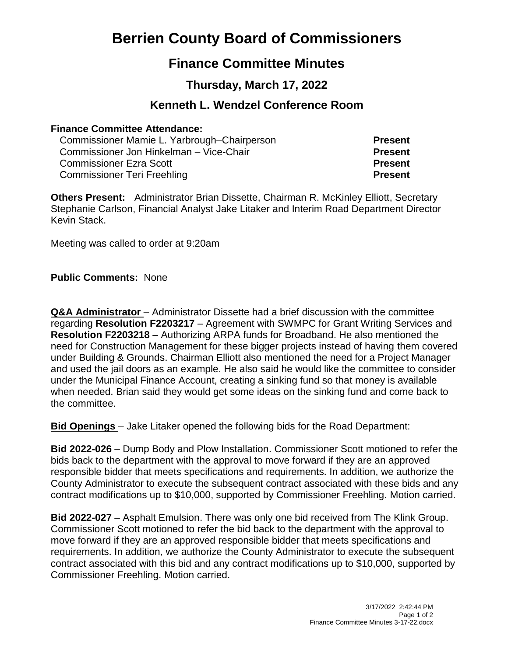# **Berrien County Board of Commissioners**

## **Finance Committee Minutes**

## **Thursday, March 17, 2022**

## **Kenneth L. Wendzel Conference Room**

### **Finance Committee Attendance:**

| Commissioner Mamie L. Yarbrough–Chairperson | <b>Present</b> |
|---------------------------------------------|----------------|
| Commissioner Jon Hinkelman - Vice-Chair     | <b>Present</b> |
| <b>Commissioner Ezra Scott</b>              | <b>Present</b> |
| <b>Commissioner Teri Freehling</b>          | <b>Present</b> |

**Others Present:** Administrator Brian Dissette, Chairman R. McKinley Elliott, Secretary Stephanie Carlson, Financial Analyst Jake Litaker and Interim Road Department Director Kevin Stack.

Meeting was called to order at 9:20am

**Public Comments:** None

**Q&A Administrator** – Administrator Dissette had a brief discussion with the committee regarding **Resolution F2203217** – Agreement with SWMPC for Grant Writing Services and **Resolution F2203218** – Authorizing ARPA funds for Broadband. He also mentioned the need for Construction Management for these bigger projects instead of having them covered under Building & Grounds. Chairman Elliott also mentioned the need for a Project Manager and used the jail doors as an example. He also said he would like the committee to consider under the Municipal Finance Account, creating a sinking fund so that money is available when needed. Brian said they would get some ideas on the sinking fund and come back to the committee.

**Bid Openings** – Jake Litaker opened the following bids for the Road Department:

**Bid 2022-026** – Dump Body and Plow Installation. Commissioner Scott motioned to refer the bids back to the department with the approval to move forward if they are an approved responsible bidder that meets specifications and requirements. In addition, we authorize the County Administrator to execute the subsequent contract associated with these bids and any contract modifications up to \$10,000, supported by Commissioner Freehling. Motion carried.

**Bid 2022-027** – Asphalt Emulsion. There was only one bid received from The Klink Group. Commissioner Scott motioned to refer the bid back to the department with the approval to move forward if they are an approved responsible bidder that meets specifications and requirements. In addition, we authorize the County Administrator to execute the subsequent contract associated with this bid and any contract modifications up to \$10,000, supported by Commissioner Freehling. Motion carried.